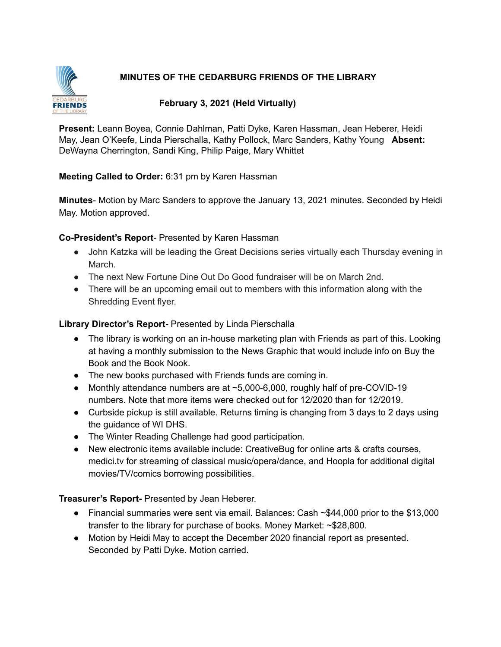# **MINUTES OF THE CEDARBURG FRIENDS OF THE LIBRARY**



## **February 3, 2021 (Held Virtually)**

**Present:** Leann Boyea, Connie Dahlman, Patti Dyke, Karen Hassman, Jean Heberer, Heidi May, Jean O'Keefe, Linda Pierschalla, Kathy Pollock, Marc Sanders, Kathy Young **Absent:** DeWayna Cherrington, Sandi King, Philip Paige, Mary Whittet

#### **Meeting Called to Order:** 6:31 pm by Karen Hassman

**Minutes**- Motion by Marc Sanders to approve the January 13, 2021 minutes. Seconded by Heidi May. Motion approved.

#### **Co-President's Report**- Presented by Karen Hassman

- John Katzka will be leading the Great Decisions series virtually each Thursday evening in March.
- The next New Fortune Dine Out Do Good fundraiser will be on March 2nd.
- There will be an upcoming email out to members with this information along with the Shredding Event flyer.

#### **Library Director's Report-** Presented by Linda Pierschalla

- The library is working on an in-house marketing plan with Friends as part of this. Looking at having a monthly submission to the News Graphic that would include info on Buy the Book and the Book Nook.
- The new books purchased with Friends funds are coming in.
- Monthly attendance numbers are at ~5,000-6,000, roughly half of pre-COVID-19 numbers. Note that more items were checked out for 12/2020 than for 12/2019.
- Curbside pickup is still available. Returns timing is changing from 3 days to 2 days using the guidance of WI DHS.
- The Winter Reading Challenge had good participation.
- New electronic items available include: CreativeBug for online arts & crafts courses, medici.tv for streaming of classical music/opera/dance, and Hoopla for additional digital movies/TV/comics borrowing possibilities.

**Treasurer's Report-** Presented by Jean Heberer.

- Financial summaries were sent via email. Balances: Cash ~\$44,000 prior to the \$13,000 transfer to the library for purchase of books. Money Market: ~\$28,800.
- Motion by Heidi May to accept the December 2020 financial report as presented. Seconded by Patti Dyke. Motion carried.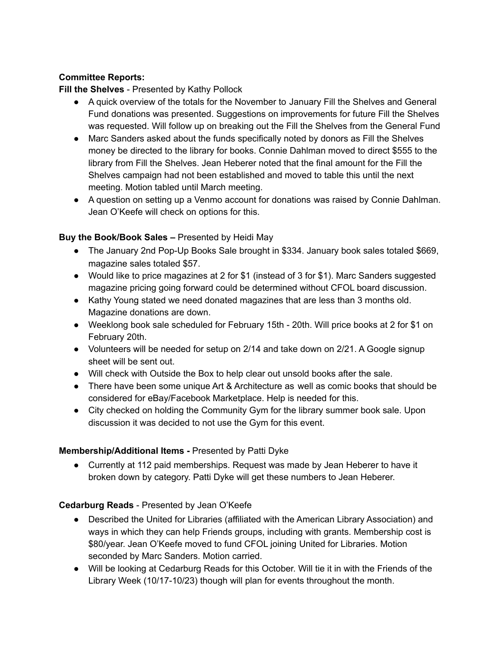# **Committee Reports:**

# **Fill the Shelves** - Presented by Kathy Pollock

- A quick overview of the totals for the November to January Fill the Shelves and General Fund donations was presented. Suggestions on improvements for future Fill the Shelves was requested. Will follow up on breaking out the Fill the Shelves from the General Fund
- Marc Sanders asked about the funds specifically noted by donors as Fill the Shelves money be directed to the library for books. Connie Dahlman moved to direct \$555 to the library from Fill the Shelves. Jean Heberer noted that the final amount for the Fill the Shelves campaign had not been established and moved to table this until the next meeting. Motion tabled until March meeting.
- A question on setting up a Venmo account for donations was raised by Connie Dahlman. Jean O'Keefe will check on options for this.

## **Buy the Book/Book Sales –** Presented by Heidi May

- The January 2nd Pop-Up Books Sale brought in \$334. January book sales totaled \$669, magazine sales totaled \$57.
- Would like to price magazines at 2 for \$1 (instead of 3 for \$1). Marc Sanders suggested magazine pricing going forward could be determined without CFOL board discussion.
- Kathy Young stated we need donated magazines that are less than 3 months old. Magazine donations are down.
- Weeklong book sale scheduled for February 15th 20th. Will price books at 2 for \$1 on February 20th.
- Volunteers will be needed for setup on  $2/14$  and take down on  $2/21$ . A Google signup sheet will be sent out.
- Will check with Outside the Box to help clear out unsold books after the sale.
- There have been some unique Art & Architecture as well as comic books that should be considered for eBay/Facebook Marketplace. Help is needed for this.
- City checked on holding the Community Gym for the library summer book sale. Upon discussion it was decided to not use the Gym for this event.

## **Membership/Additional Items -** Presented by Patti Dyke

● Currently at 112 paid memberships. Request was made by Jean Heberer to have it broken down by category. Patti Dyke will get these numbers to Jean Heberer.

# **Cedarburg Reads** - Presented by Jean O'Keefe

- Described the United for Libraries (affiliated with the American Library Association) and ways in which they can help Friends groups, including with grants. Membership cost is \$80/year. Jean O'Keefe moved to fund CFOL joining United for Libraries. Motion seconded by Marc Sanders. Motion carried.
- Will be looking at Cedarburg Reads for this October. Will tie it in with the Friends of the Library Week (10/17-10/23) though will plan for events throughout the month.